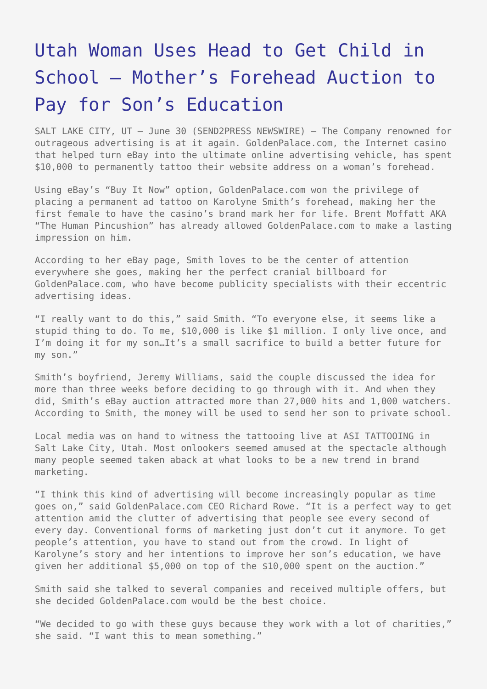## [Utah Woman Uses Head to Get Child in](https://www.send2press.com/wire/2005-06-0630-003/) [School – Mother's Forehead Auction to](https://www.send2press.com/wire/2005-06-0630-003/) [Pay for Son's Education](https://www.send2press.com/wire/2005-06-0630-003/)

SALT LAKE CITY, UT – June 30 (SEND2PRESS NEWSWIRE) — The Company renowned for outrageous advertising is at it again. GoldenPalace.com, the Internet casino that helped turn eBay into the ultimate online advertising vehicle, has spent \$10,000 to permanently tattoo their website address on a woman's forehead.

Using eBay's "Buy It Now" option, GoldenPalace.com won the privilege of placing a permanent ad tattoo on Karolyne Smith's forehead, making her the first female to have the casino's brand mark her for life. Brent Moffatt AKA "The Human Pincushion" has already allowed GoldenPalace.com to make a lasting impression on him.

According to her eBay page, Smith loves to be the center of attention everywhere she goes, making her the perfect cranial billboard for GoldenPalace.com, who have become publicity specialists with their eccentric advertising ideas.

"I really want to do this," said Smith. "To everyone else, it seems like a stupid thing to do. To me, \$10,000 is like \$1 million. I only live once, and I'm doing it for my son…It's a small sacrifice to build a better future for my son."

Smith's boyfriend, Jeremy Williams, said the couple discussed the idea for more than three weeks before deciding to go through with it. And when they did, Smith's eBay auction attracted more than 27,000 hits and 1,000 watchers. According to Smith, the money will be used to send her son to private school.

Local media was on hand to witness the tattooing live at ASI TATTOOING in Salt Lake City, Utah. Most onlookers seemed amused at the spectacle although many people seemed taken aback at what looks to be a new trend in brand marketing.

"I think this kind of advertising will become increasingly popular as time goes on," said GoldenPalace.com CEO Richard Rowe. "It is a perfect way to get attention amid the clutter of advertising that people see every second of every day. Conventional forms of marketing just don't cut it anymore. To get people's attention, you have to stand out from the crowd. In light of Karolyne's story and her intentions to improve her son's education, we have given her additional \$5,000 on top of the \$10,000 spent on the auction."

Smith said she talked to several companies and received multiple offers, but she decided GoldenPalace.com would be the best choice.

"We decided to go with these guys because they work with a lot of charities," she said. "I want this to mean something."